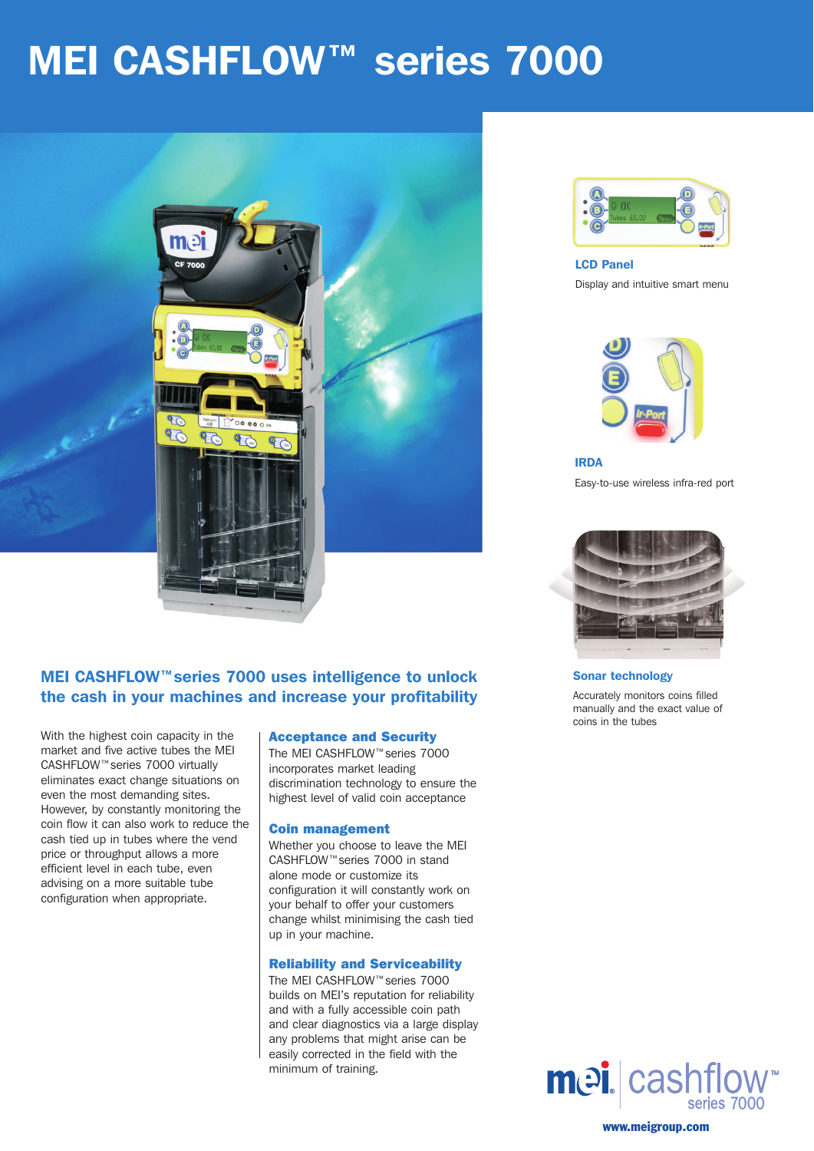# **MEI CASHFLOW™ series 7000**



# MEI CASHFLOW™series 7000 uses intelligence to unlock the cash in your machines and increase your profitability

With the highest coin capacity in the market and five active tubes the MEI CASHFLOW™series 7000 virtually eliminates exact change situations on even the most demanding sites. However, by constantly monitoring the coin flow it can also work to reduce the cash tied up in tubes where the vend price or throughput allows a more efficient level in each tube, even advising on a more suitable tube configuration when appropriate.

#### Acceptance and Security

The MEI CASHFLOW™series 7000 incorporates market leading discrimination technology to ensure the highest level of valid coin acceptance

### Coin management

Whether you choose to leave the MEI CASHFLOW™series 7000 in stand alone mode or customize its configuration it will constantly work on your behalf to offer your customers change whilst minimising the cash tied up in your machine.

#### Reliability and Serviceability

The MEI CASHFLOW™series 7000 builds on MEI's reputation for reliability and with a fully accessible coin path and clear diagnostics via a large display any problems that might arise can be easily corrected in the field with the minimum of training.



LCD Panel Display and intuitive smart menu



IRDA Easy-to-use wireless infra-red port



Sonar technology

Accurately monitors coins filled manually and the exact value of coins in the tubes